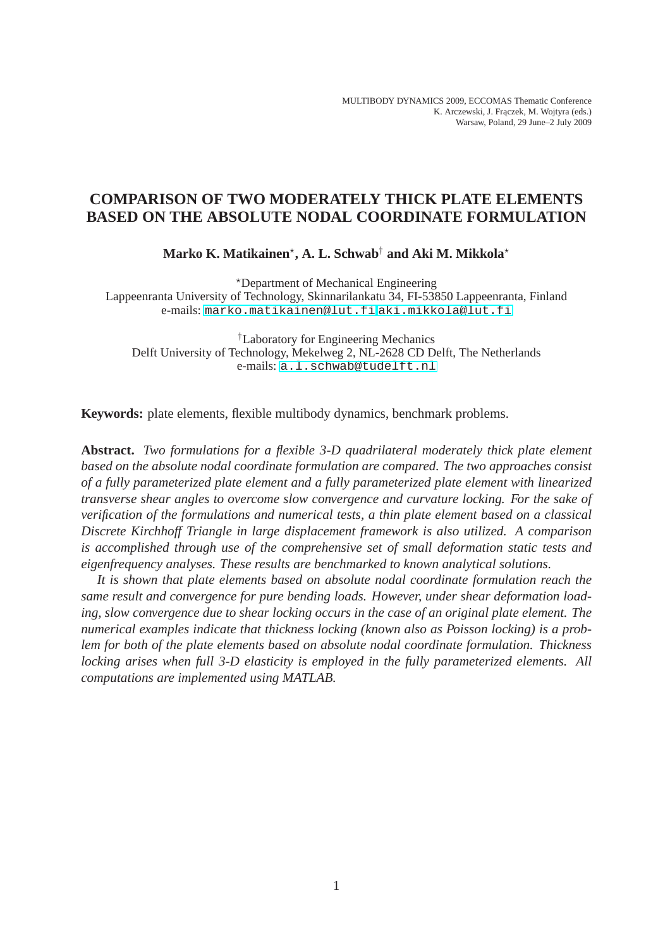# **COMPARISON OF TWO MODERATELY THICK PLATE ELEMENTS BASED ON THE ABSOLUTE NODAL COORDINATE FORMULATION**

 $\mathbf{Marko\ K.\ Matikainen^{\star}, \mathbf{A.\ L.\ Schwab}^{\dagger}$  and  $\mathbf{Aki\ M.\ Mikkola^{\star}}$ 

<sup>⋆</sup>Department of Mechanical Engineering

Lappeenranta University of Technology, Skinnarilankatu 34, FI-53850 Lappeenranta, Finland e-mails: <marko.matikainen@lut.fi>,<aki.mikkola@lut.fi>

†Laboratory for Engineering Mechanics Delft University of Technology, Mekelweg 2, NL-2628 CD Delft, The Netherlands e-mails: <a.l.schwab@tudelft.nl>

**Keywords:** plate elements, flexible multibody dynamics, benchmark problems.

**Abstract.** *Two formulations for a flexible 3-D quadrilateral moderately thick plate element based on the absolute nodal coordinate formulation are compared. The two approaches consist of a fully parameterized plate element and a fully parameterized plate element with linearized transverse shear angles to overcome slow convergence and curvature locking. For the sake of verification of the formulations and numerical tests, a thin plate element based on a classical Discrete Kirchhoff Triangle in large displacement framework is also utilized. A comparison is accomplished through use of the comprehensive set of small deformation static tests and eigenfrequency analyses. These results are benchmarked to known analytical solutions.*

*It is shown that plate elements based on absolute nodal coordinate formulation reach the same result and convergence for pure bending loads. However, under shear deformation loading, slow convergence due to shear locking occurs in the case of an original plate element. The numerical examples indicate that thickness locking (known also as Poisson locking) is a problem for both of the plate elements based on absolute nodal coordinate formulation. Thickness locking arises when full 3-D elasticity is employed in the fully parameterized elements. All computations are implemented using MATLAB.*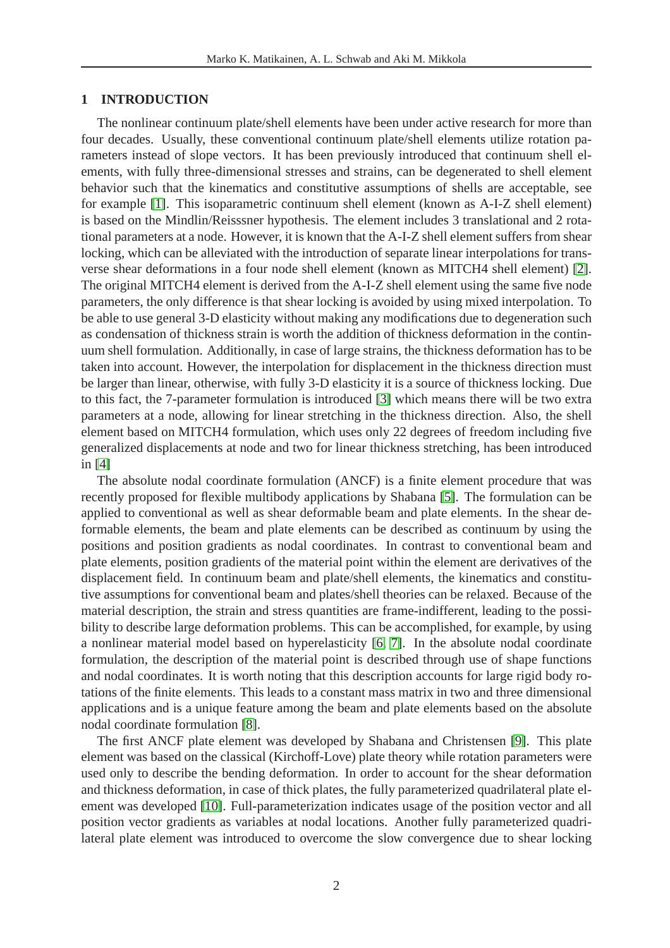### **1 INTRODUCTION**

The nonlinear continuum plate/shell elements have been under active research for more than four decades. Usually, these conventional continuum plate/shell elements utilize rotation parameters instead of slope vectors. It has been previously introduced that continuum shell elements, with fully three-dimensional stresses and strains, can be degenerated to shell element behavior such that the kinematics and constitutive assumptions of shells are acceptable, see for example [\[1\]](#page-19-0). This isoparametric continuum shell element (known as A-I-Z shell element) is based on the Mindlin/Reisssner hypothesis. The element includes 3 translational and 2 rotational parameters at a node. However, it is known that the A-I-Z shell element suffers from shear locking, which can be alleviated with the introduction of separate linear interpolations for transverse shear deformations in a four node shell element (known as MITCH4 shell element) [\[2\]](#page-19-1). The original MITCH4 element is derived from the A-I-Z shell element using the same five node parameters, the only difference is that shear locking is avoided by using mixed interpolation. To be able to use general 3-D elasticity without making any modifications due to degeneration such as condensation of thickness strain is worth the addition of thickness deformation in the continuum shell formulation. Additionally, in case of large strains, the thickness deformation has to be taken into account. However, the interpolation for displacement in the thickness direction must be larger than linear, otherwise, with fully 3-D elasticity it is a source of thickness locking. Due to this fact, the 7-parameter formulation is introduced [\[3\]](#page-19-2) which means there will be two extra parameters at a node, allowing for linear stretching in the thickness direction. Also, the shell element based on MITCH4 formulation, which uses only 22 degrees of freedom including five generalized displacements at node and two for linear thickness stretching, has been introduced in [\[4\]](#page-19-3)

The absolute nodal coordinate formulation (ANCF) is a finite element procedure that was recently proposed for flexible multibody applications by Shabana [\[5\]](#page-19-4). The formulation can be applied to conventional as well as shear deformable beam and plate elements. In the shear deformable elements, the beam and plate elements can be described as continuum by using the positions and position gradients as nodal coordinates. In contrast to conventional beam and plate elements, position gradients of the material point within the element are derivatives of the displacement field. In continuum beam and plate/shell elements, the kinematics and constitutive assumptions for conventional beam and plates/shell theories can be relaxed. Because of the material description, the strain and stress quantities are frame-indifferent, leading to the possibility to describe large deformation problems. This can be accomplished, for example, by using a nonlinear material model based on hyperelasticity [\[6,](#page-19-5) [7\]](#page-19-6). In the absolute nodal coordinate formulation, the description of the material point is described through use of shape functions and nodal coordinates. It is worth noting that this description accounts for large rigid body rotations of the finite elements. This leads to a constant mass matrix in two and three dimensional applications and is a unique feature among the beam and plate elements based on the absolute nodal coordinate formulation [\[8\]](#page-19-7).

The first ANCF plate element was developed by Shabana and Christensen [\[9\]](#page-19-8). This plate element was based on the classical (Kirchoff-Love) plate theory while rotation parameters were used only to describe the bending deformation. In order to account for the shear deformation and thickness deformation, in case of thick plates, the fully parameterized quadrilateral plate element was developed [\[10\]](#page-19-9). Full-parameterization indicates usage of the position vector and all position vector gradients as variables at nodal locations. Another fully parameterized quadrilateral plate element was introduced to overcome the slow convergence due to shear locking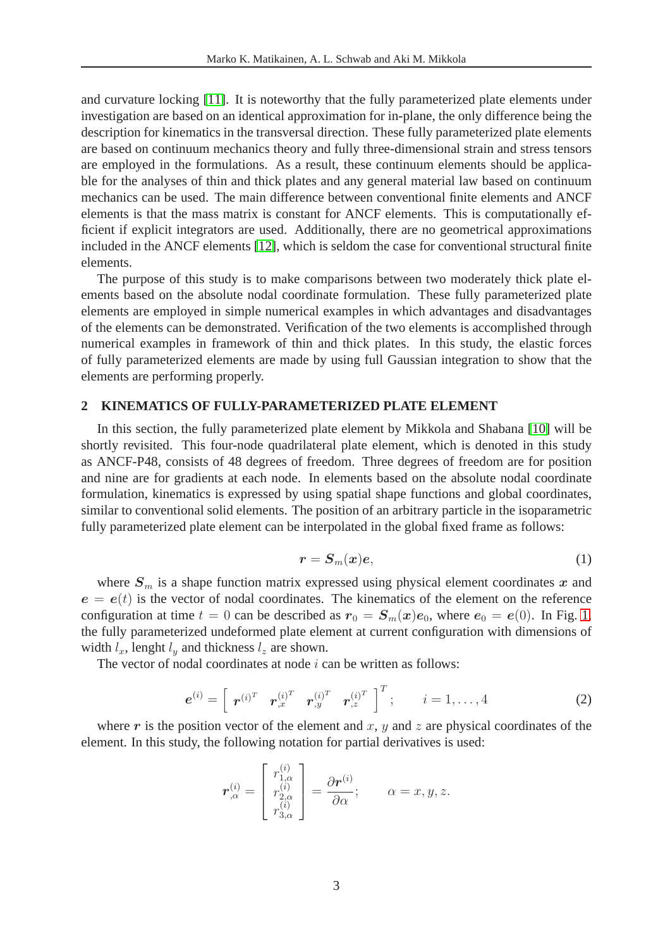and curvature locking [\[11\]](#page-19-10). It is noteworthy that the fully parameterized plate elements under investigation are based on an identical approximation for in-plane, the only difference being the description for kinematics in the transversal direction. These fully parameterized plate elements are based on continuum mechanics theory and fully three-dimensional strain and stress tensors are employed in the formulations. As a result, these continuum elements should be applicable for the analyses of thin and thick plates and any general material law based on continuum mechanics can be used. The main difference between conventional finite elements and ANCF elements is that the mass matrix is constant for ANCF elements. This is computationally efficient if explicit integrators are used. Additionally, there are no geometrical approximations included in the ANCF elements [\[12\]](#page-20-0), which is seldom the case for conventional structural finite elements.

The purpose of this study is to make comparisons between two moderately thick plate elements based on the absolute nodal coordinate formulation. These fully parameterized plate elements are employed in simple numerical examples in which advantages and disadvantages of the elements can be demonstrated. Verification of the two elements is accomplished through numerical examples in framework of thin and thick plates. In this study, the elastic forces of fully parameterized elements are made by using full Gaussian integration to show that the elements are performing properly.

### **2 KINEMATICS OF FULLY-PARAMETERIZED PLATE ELEMENT**

In this section, the fully parameterized plate element by Mikkola and Shabana [\[10\]](#page-19-9) will be shortly revisited. This four-node quadrilateral plate element, which is denoted in this study as ANCF-P48, consists of 48 degrees of freedom. Three degrees of freedom are for position and nine are for gradients at each node. In elements based on the absolute nodal coordinate formulation, kinematics is expressed by using spatial shape functions and global coordinates, similar to conventional solid elements. The position of an arbitrary particle in the isoparametric fully parameterized plate element can be interpolated in the global fixed frame as follows:

$$
r = S_m(x)e, \tag{1}
$$

<span id="page-2-0"></span>where  $S_m$  is a shape function matrix expressed using physical element coordinates x and  $e = e(t)$  is the vector of nodal coordinates. The kinematics of the element on the reference configuration at time  $t = 0$  can be described as  $r_0 = S_m(x)e_0$ , where  $e_0 = e(0)$ . In Fig. [1,](#page-3-0) the fully parameterized undeformed plate element at current configuration with dimensions of width  $l_x$ , lenght  $l_y$  and thickness  $l_z$  are shown.

The vector of nodal coordinates at node  $i$  can be written as follows:

$$
\boldsymbol{e}^{(i)} = \left[ \begin{array}{cccc} \boldsymbol{r}^{(i)^T} & \boldsymbol{r}_{,x}^{(i)^T} & \boldsymbol{r}_{,y}^{(i)^T} & \boldsymbol{r}_{,z}^{(i)^T} \end{array} \right]^T; \qquad i = 1, \ldots, 4
$$
 (2)

where r is the position vector of the element and x, y and z are physical coordinates of the element. In this study, the following notation for partial derivatives is used:

$$
\boldsymbol{r}_{,\alpha}^{(i)} = \begin{bmatrix} r_{1,\alpha}^{(i)} \\ r_{2,\alpha}^{(i)} \\ r_{3,\alpha}^{(i)} \end{bmatrix} = \frac{\partial \boldsymbol{r}^{(i)}}{\partial \alpha}; \qquad \alpha = x, y, z.
$$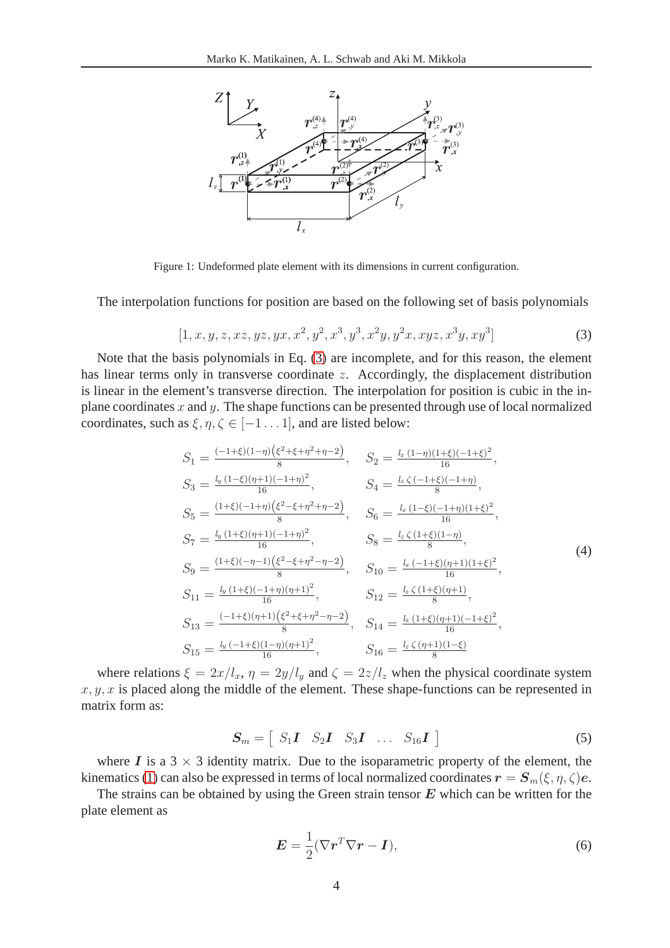

<span id="page-3-0"></span>Figure 1: Undeformed plate element with its dimensions in current configuration.

<span id="page-3-1"></span>The interpolation functions for position are based on the following set of basis polynomials

$$
[1, x, y, z, xz, yz, yx, x^2, y^2, x^3, y^3, x^2y, y^2x, xyz, x^3y, xy^3]
$$
\n(3)

Note that the basis polynomials in Eq. [\(3\)](#page-3-1) are incomplete, and for this reason, the element has linear terms only in transverse coordinate z. Accordingly, the displacement distribution is linear in the element's transverse direction. The interpolation for position is cubic in the inplane coordinates x and y. The shape functions can be presented through use of local normalized coordinates, such as  $\xi, \eta, \zeta \in [-1 \dots 1]$ , and are listed below:

$$
S_{1} = \frac{(-1+\xi)(1-\eta)(\xi^{2}+\xi+\eta^{2}+\eta-2)}{8}, \quad S_{2} = \frac{l_{x}(1-\eta)(1+\xi)(-1+\xi)^{2}}{16},
$$
  
\n
$$
S_{3} = \frac{l_{y}(1-\xi)(\eta+1)(-1+\eta)^{2}}{16}, \quad S_{4} = \frac{l_{z}\zeta(-1+\xi)(-1+\eta)}{8},
$$
  
\n
$$
S_{5} = \frac{(1+\xi)(-1+\eta)(\xi^{2}-\xi+\eta^{2}+\eta-2)}{8}, \quad S_{6} = \frac{l_{x}(1-\xi)(-1+\eta)(1+\xi)^{2}}{16},
$$
  
\n
$$
S_{7} = \frac{l_{y}(1+\xi)(\eta+1)(-1+\eta)^{2}}{16}, \quad S_{8} = \frac{l_{z}\zeta(1+\xi)(1-\eta)}{8},
$$
  
\n
$$
S_{9} = \frac{(1+\xi)(-\eta-1)(\xi^{2}-\xi+\eta^{2}-\eta-2)}{8}, \quad S_{10} = \frac{l_{x}(-1+\xi)(\eta+1)(1+\xi)^{2}}{16},
$$
  
\n
$$
S_{11} = \frac{l_{y}(1+\xi)(-1+\eta)(\eta+1)^{2}}{16}, \quad S_{12} = \frac{l_{z}\zeta(1+\xi)(\eta+1)}{8},
$$
  
\n
$$
S_{13} = \frac{(-1+\xi)(\eta+1)(\xi^{2}+\xi+\eta^{2}-\eta-2)}{8}, \quad S_{14} = \frac{l_{x}(1+\xi)(\eta+1)(-1+\xi)^{2}}{16},
$$
  
\n
$$
S_{15} = \frac{l_{y}(-1+\xi)(1-\eta)(\eta+1)^{2}}{16}, \quad S_{16} = \frac{l_{z}\zeta(\eta+1)(1-\xi)}{8}
$$

where relations  $\xi = 2x/l_x$ ,  $\eta = 2y/l_y$  and  $\zeta = 2z/l_z$  when the physical coordinate system  $x, y, x$  is placed along the middle of the element. These shape-functions can be represented in matrix form as:

$$
\boldsymbol{S}_m = \left[ \begin{array}{cccc} S_1 \boldsymbol{I} & S_2 \boldsymbol{I} & S_3 \boldsymbol{I} & \dots & S_{16} \boldsymbol{I} \end{array} \right] \tag{5}
$$

where I is a  $3 \times 3$  identity matrix. Due to the isoparametric property of the element, the kinematics [\(1\)](#page-2-0) can also be expressed in terms of local normalized coordinates  $\mathbf{r} = \mathbf{S}_m(\xi, \eta, \zeta)\mathbf{e}$ .

<span id="page-3-2"></span>The strains can be obtained by using the Green strain tensor  $E$  which can be written for the plate element as

$$
E = \frac{1}{2} (\nabla r^T \nabla r - \mathbf{I}),\tag{6}
$$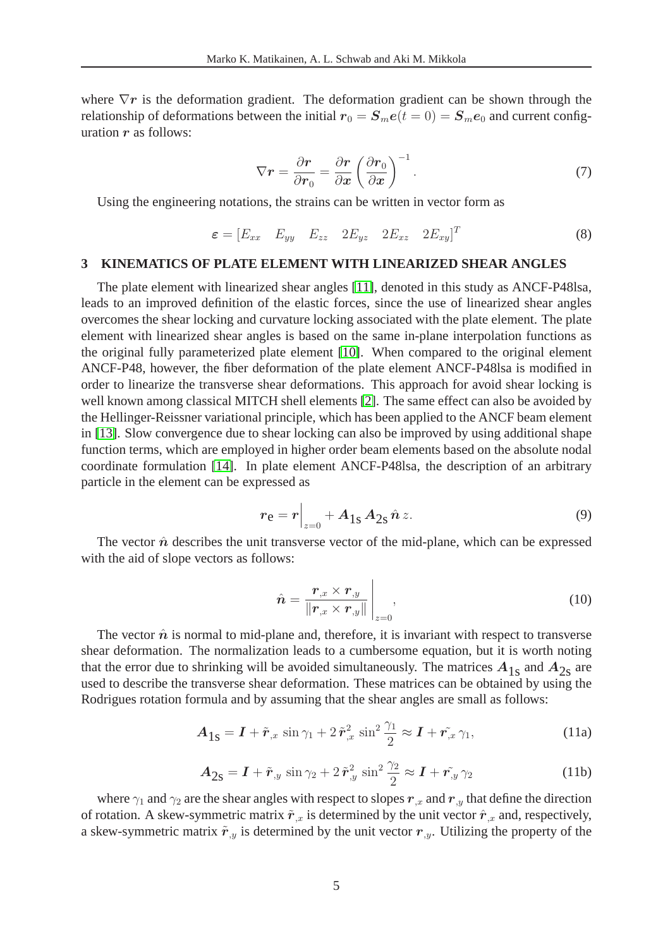where  $\nabla r$  is the deformation gradient. The deformation gradient can be shown through the relationship of deformations between the initial  $r_0 = S_m e(t = 0) = S_m e_0$  and current configuration  $r$  as follows:

$$
\nabla \mathbf{r} = \frac{\partial \mathbf{r}}{\partial \mathbf{r}_0} = \frac{\partial \mathbf{r}}{\partial \mathbf{x}} \left( \frac{\partial \mathbf{r}_0}{\partial \mathbf{x}} \right)^{-1} . \tag{7}
$$

Using the engineering notations, the strains can be written in vector form as

$$
\varepsilon = [E_{xx} \quad E_{yy} \quad E_{zz} \quad 2E_{yz} \quad 2E_{xz} \quad 2E_{xy}]^T
$$
\n(8)

#### **3 KINEMATICS OF PLATE ELEMENT WITH LINEARIZED SHEAR ANGLES**

The plate element with linearized shear angles [\[11\]](#page-19-10), denoted in this study as ANCF-P48lsa, leads to an improved definition of the elastic forces, since the use of linearized shear angles overcomes the shear locking and curvature locking associated with the plate element. The plate element with linearized shear angles is based on the same in-plane interpolation functions as the original fully parameterized plate element [\[10\]](#page-19-9). When compared to the original element ANCF-P48, however, the fiber deformation of the plate element ANCF-P48lsa is modified in order to linearize the transverse shear deformations. This approach for avoid shear locking is well known among classical MITCH shell elements [\[2\]](#page-19-1). The same effect can also be avoided by the Hellinger-Reissner variational principle, which has been applied to the ANCF beam element in [\[13\]](#page-20-1). Slow convergence due to shear locking can also be improved by using additional shape function terms, which are employed in higher order beam elements based on the absolute nodal coordinate formulation [\[14\]](#page-20-2). In plate element ANCF-P48lsa, the description of an arbitrary particle in the element can be expressed as

$$
r_{\rm e} = r \Big|_{z=0} + A_{1\rm s} A_{2\rm s} \,\hat{n} \, z. \tag{9}
$$

<span id="page-4-0"></span>The vector  $\hat{n}$  describes the unit transverse vector of the mid-plane, which can be expressed with the aid of slope vectors as follows:

$$
\hat{\boldsymbol{n}} = \frac{\boldsymbol{r}_{,x} \times \boldsymbol{r}_{,y}}{\|\boldsymbol{r}_{,x} \times \boldsymbol{r}_{,y}\|}\Big|_{z=0},\tag{10}
$$

The vector  $\hat{n}$  is normal to mid-plane and, therefore, it is invariant with respect to transverse shear deformation. The normalization leads to a cumbersome equation, but it is worth noting that the error due to shrinking will be avoided simultaneously. The matrices  $A_{1s}$  and  $A_{2s}$  are used to describe the transverse shear deformation. These matrices can be obtained by using the Rodrigues rotation formula and by assuming that the shear angles are small as follows:

$$
\mathbf{A}_{1\mathbf{s}} = \mathbf{I} + \tilde{\mathbf{r}}_{,x} \sin \gamma_1 + 2 \tilde{\mathbf{r}}_{,x}^2 \sin^2 \frac{\gamma_1}{2} \approx \mathbf{I} + \tilde{\mathbf{r}}_{,x} \gamma_1,\tag{11a}
$$

$$
\mathbf{A}_{2\mathbf{s}} = \mathbf{I} + \tilde{\mathbf{r}}_{y} \sin \gamma_2 + 2 \tilde{\mathbf{r}}_{y}^2 \sin^2 \frac{\gamma_2}{2} \approx \mathbf{I} + \tilde{\mathbf{r}}_{y} \gamma_2 \tag{11b}
$$

where  $\gamma_1$  and  $\gamma_2$  are the shear angles with respect to slopes  $r_{,x}$  and  $r_{,y}$  that define the direction of rotation. A skew-symmetric matrix  $\tilde{r}_{,x}$  is determined by the unit vector  $\hat{r}_{,x}$  and, respectively, a skew-symmetric matrix  $\tilde{r}_y$  is determined by the unit vector  $r_y$ . Utilizing the property of the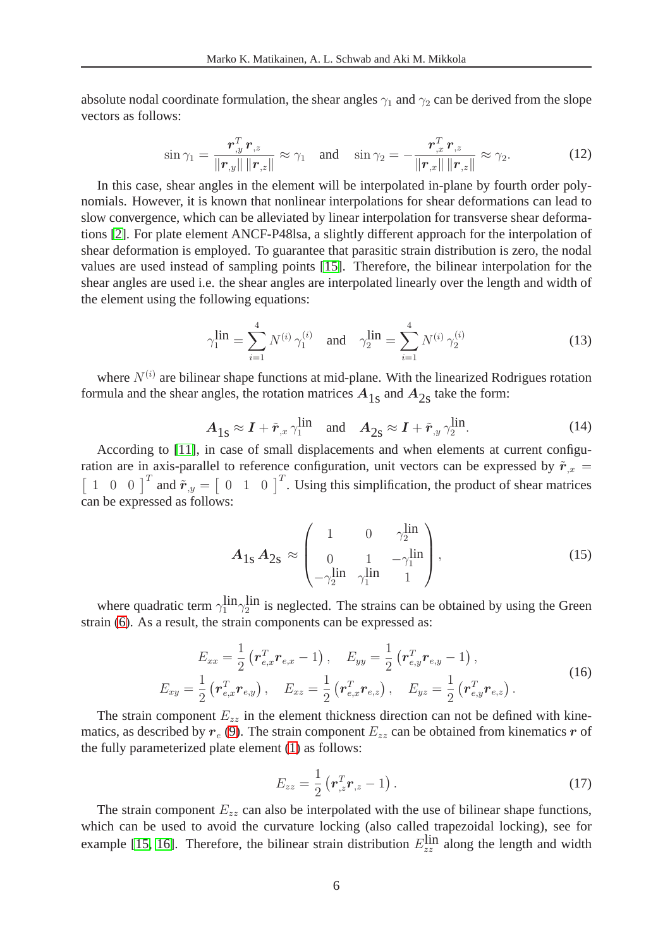absolute nodal coordinate formulation, the shear angles  $\gamma_1$  and  $\gamma_2$  can be derived from the slope vectors as follows:

$$
\sin \gamma_1 = \frac{\boldsymbol{r}_{,y}^T \boldsymbol{r}_{,z}}{\|\boldsymbol{r}_{,y}\| \|\boldsymbol{r}_{,z}\|} \approx \gamma_1 \quad \text{and} \quad \sin \gamma_2 = -\frac{\boldsymbol{r}_{,x}^T \boldsymbol{r}_{,z}}{\|\boldsymbol{r}_{,x}\| \|\boldsymbol{r}_{,z}\|} \approx \gamma_2. \tag{12}
$$

In this case, shear angles in the element will be interpolated in-plane by fourth order polynomials. However, it is known that nonlinear interpolations for shear deformations can lead to slow convergence, which can be alleviated by linear interpolation for transverse shear deformations [\[2\]](#page-19-1). For plate element ANCF-P48lsa, a slightly different approach for the interpolation of shear deformation is employed. To guarantee that parasitic strain distribution is zero, the nodal values are used instead of sampling points [\[15\]](#page-20-3). Therefore, the bilinear interpolation for the shear angles are used i.e. the shear angles are interpolated linearly over the length and width of the element using the following equations:

$$
\gamma_1^{\text{lin}} = \sum_{i=1}^4 N^{(i)} \gamma_1^{(i)} \quad \text{and} \quad \gamma_2^{\text{lin}} = \sum_{i=1}^4 N^{(i)} \gamma_2^{(i)} \tag{13}
$$

where  $N^{(i)}$  are bilinear shape functions at mid-plane. With the linearized Rodrigues rotation formula and the shear angles, the rotation matrices  $A_{1s}$  and  $A_{2s}$  take the form:

$$
A_{1s} \approx I + \tilde{r}_{,x} \gamma_1^{\text{lin}} \quad \text{and} \quad A_{2s} \approx I + \tilde{r}_{,y} \gamma_2^{\text{lin}}.
$$
 (14)

According to [\[11\]](#page-19-10), in case of small displacements and when elements at current configuration are in axis-parallel to reference configuration, unit vectors can be expressed by  $\tilde{r}_{,x}$  =  $\begin{bmatrix} 1 & 0 & 0 \end{bmatrix}^T$  and  $\tilde{r}_{y} = \begin{bmatrix} 0 & 1 & 0 \end{bmatrix}^T$ . Using this simplification, the product of shear matrices can be expressed as follows:

$$
A_{1s} A_{2s} \approx \begin{pmatrix} 1 & 0 & \gamma_2^{\text{lin}} \\ 0 & 1 & -\gamma_1^{\text{lin}} \\ -\gamma_2^{\text{lin}} & \gamma_1^{\text{lin}} & 1 \end{pmatrix},
$$
(15)

where quadratic term  $\gamma_1^{\text{lin}}\gamma_2^{\text{lin}}$  is neglected. The strains can be obtained by using the Green strain [\(6\)](#page-3-2). As a result, the strain components can be expressed as:

$$
E_{xx} = \frac{1}{2} \left( \boldsymbol{r}_{e,x}^T \boldsymbol{r}_{e,x} - 1 \right), \quad E_{yy} = \frac{1}{2} \left( \boldsymbol{r}_{e,y}^T \boldsymbol{r}_{e,y} - 1 \right),
$$
  
\n
$$
E_{xy} = \frac{1}{2} \left( \boldsymbol{r}_{e,x}^T \boldsymbol{r}_{e,y} \right), \quad E_{xz} = \frac{1}{2} \left( \boldsymbol{r}_{e,x}^T \boldsymbol{r}_{e,z} \right), \quad E_{yz} = \frac{1}{2} \left( \boldsymbol{r}_{e,y}^T \boldsymbol{r}_{e,z} \right).
$$
\n(16)

The strain component  $E_{zz}$  in the element thickness direction can not be defined with kinematics, as described by  $r_e$  [\(9\)](#page-4-0). The strain component  $E_{zz}$  can be obtained from kinematics r of the fully parameterized plate element [\(1\)](#page-2-0) as follows:

$$
E_{zz} = \frac{1}{2} \left( \boldsymbol{r}_{,z}^T \boldsymbol{r}_{,z} - 1 \right). \tag{17}
$$

The strain component  $E_{zz}$  can also be interpolated with the use of bilinear shape functions, which can be used to avoid the curvature locking (also called trapezoidal locking), see for example [\[15,](#page-20-3) [16\]](#page-20-4). Therefore, the bilinear strain distribution  $E_{zz}^{\text{lin}}$  along the length and width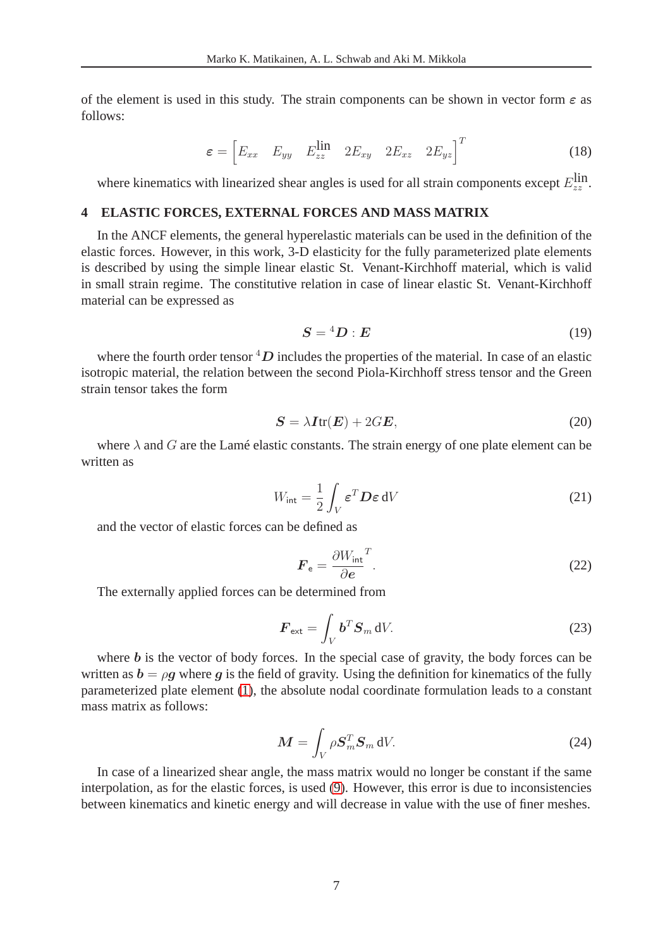of the element is used in this study. The strain components can be shown in vector form  $\varepsilon$  as follows:

$$
\varepsilon = \begin{bmatrix} E_{xx} & E_{yy} & E_{zz}^{\text{lin}} & 2E_{xy} & 2E_{xz} & 2E_{yz} \end{bmatrix}^T \tag{18}
$$

where kinematics with linearized shear angles is used for all strain components except  $E_{zz}^{\text{lin}}$ .

### **4 ELASTIC FORCES, EXTERNAL FORCES AND MASS MATRIX**

In the ANCF elements, the general hyperelastic materials can be used in the definition of the elastic forces. However, in this work, 3-D elasticity for the fully parameterized plate elements is described by using the simple linear elastic St. Venant-Kirchhoff material, which is valid in small strain regime. The constitutive relation in case of linear elastic St. Venant-Kirchhoff material can be expressed as

$$
S = {}^4D : E \tag{19}
$$

where the fourth order tensor  ${}^{4}D$  includes the properties of the material. In case of an elastic isotropic material, the relation between the second Piola-Kirchhoff stress tensor and the Green strain tensor takes the form

$$
S = \lambda I \text{tr}(E) + 2GE,\tag{20}
$$

where  $\lambda$  and G are the Lamé elastic constants. The strain energy of one plate element can be written as

$$
W_{\text{int}} = \frac{1}{2} \int_{V} \varepsilon^{T} D \varepsilon \, \mathrm{d}V \tag{21}
$$

and the vector of elastic forces can be defined as

$$
\boldsymbol{F}_{\mathsf{e}} = \frac{\partial W_{\text{int}}^T}{\partial \boldsymbol{e}}.\tag{22}
$$

The externally applied forces can be determined from

$$
\boldsymbol{F}_{\text{ext}} = \int_{V} \boldsymbol{b}^{T} \boldsymbol{S}_{m} \, dV. \tag{23}
$$

where  **is the vector of body forces. In the special case of gravity, the body forces can be** written as  $b = \rho g$  where g is the field of gravity. Using the definition for kinematics of the fully parameterized plate element [\(1\)](#page-2-0), the absolute nodal coordinate formulation leads to a constant mass matrix as follows:

$$
\mathbf{M} = \int_{V} \rho \mathbf{S}_{m}^{T} \mathbf{S}_{m} \, \mathrm{d}V. \tag{24}
$$

In case of a linearized shear angle, the mass matrix would no longer be constant if the same interpolation, as for the elastic forces, is used [\(9\)](#page-4-0). However, this error is due to inconsistencies between kinematics and kinetic energy and will decrease in value with the use of finer meshes.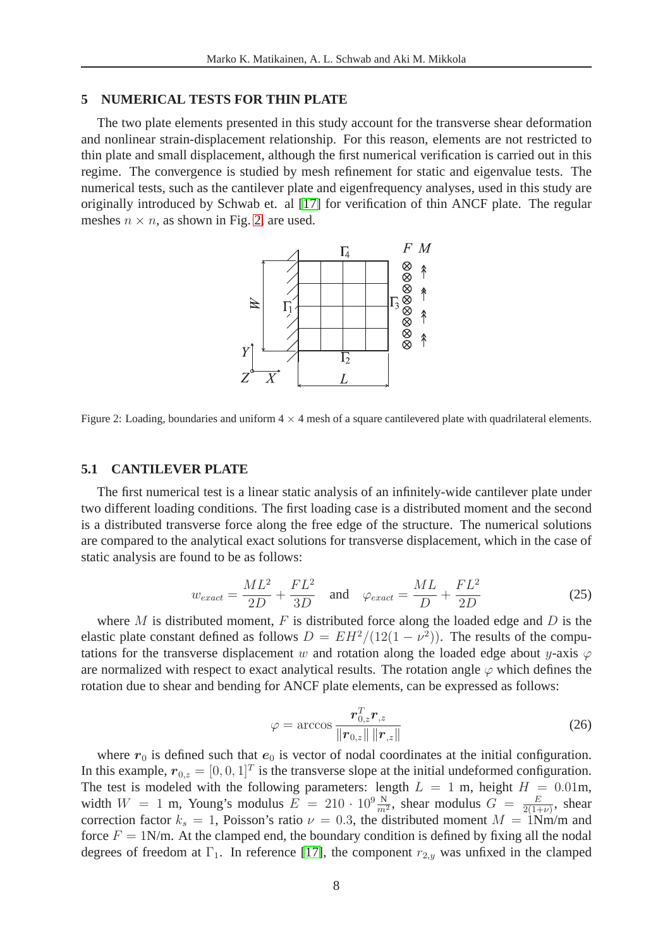#### **5 NUMERICAL TESTS FOR THIN PLATE**

The two plate elements presented in this study account for the transverse shear deformation and nonlinear strain-displacement relationship. For this reason, elements are not restricted to thin plate and small displacement, although the first numerical verification is carried out in this regime. The convergence is studied by mesh refinement for static and eigenvalue tests. The numerical tests, such as the cantilever plate and eigenfrequency analyses, used in this study are originally introduced by Schwab et. al [\[17\]](#page-20-5) for verification of thin ANCF plate. The regular meshes  $n \times n$ , as shown in Fig. [2,](#page-7-0) are used.



<span id="page-7-0"></span>Figure 2: Loading, boundaries and uniform  $4 \times 4$  mesh of a square cantilevered plate with quadrilateral elements.

#### **5.1 CANTILEVER PLATE**

The first numerical test is a linear static analysis of an infinitely-wide cantilever plate under two different loading conditions. The first loading case is a distributed moment and the second is a distributed transverse force along the free edge of the structure. The numerical solutions are compared to the analytical exact solutions for transverse displacement, which in the case of static analysis are found to be as follows:

$$
w_{exact} = \frac{ML^2}{2D} + \frac{FL^2}{3D} \quad \text{and} \quad \varphi_{exact} = \frac{ML}{D} + \frac{FL^2}{2D} \tag{25}
$$

where M is distributed moment, F is distributed force along the loaded edge and D is the elastic plate constant defined as follows  $D = EH^2/(12(1 - \nu^2))$ . The results of the computations for the transverse displacement w and rotation along the loaded edge about y-axis  $\varphi$ are normalized with respect to exact analytical results. The rotation angle  $\varphi$  which defines the rotation due to shear and bending for ANCF plate elements, can be expressed as follows:

$$
\varphi = \arccos \frac{\boldsymbol{r}_{0,z}^T \boldsymbol{r}_{,z}}{\|\boldsymbol{r}_{0,z}\| \|\boldsymbol{r}_{,z}\|}
$$
(26)

where  $r_0$  is defined such that  $e_0$  is vector of nodal coordinates at the initial configuration. In this example,  $r_{0,z} = [0, 0, 1]^T$  is the transverse slope at the initial undeformed configuration. The test is modeled with the following parameters: length  $L = 1$  m, height  $H = 0.01$ m, width  $W = 1$  m, Young's modulus  $E = 210 \cdot 10^9 \frac{\text{N}}{m^2}$ , shear modulus  $G = \frac{E}{2(1+1)^2}$  $rac{E}{2(1+\nu)}$ , shear correction factor  $k_s = 1$ , Poisson's ratio  $\nu = 0.3$ , the distributed moment  $M = 1$ Nm/m and force  $F = 1$ N/m. At the clamped end, the boundary condition is defined by fixing all the nodal degrees of freedom at  $\Gamma_1$ . In reference [\[17\]](#page-20-5), the component  $r_{2,y}$  was unfixed in the clamped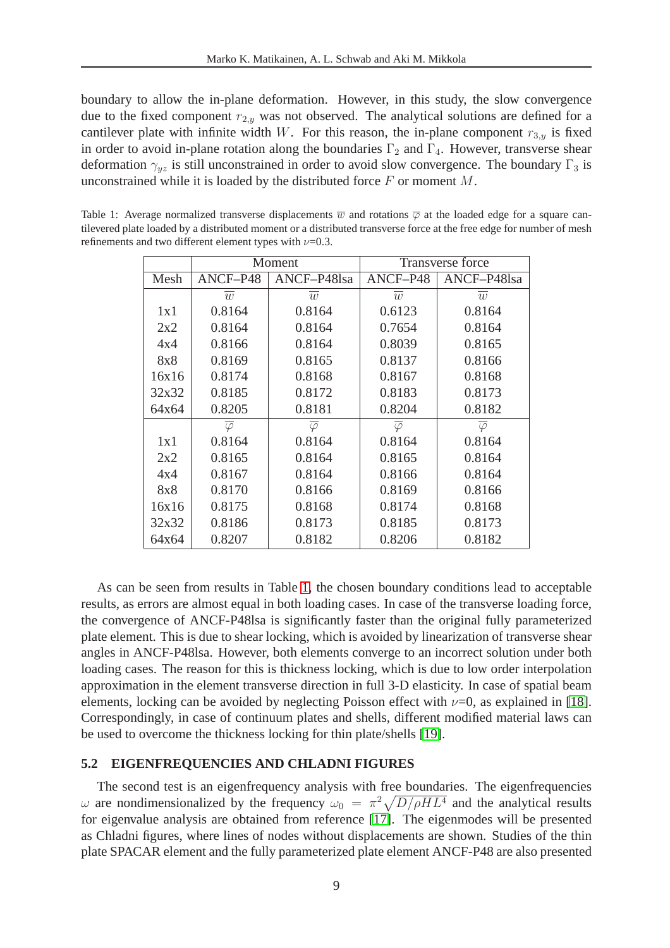boundary to allow the in-plane deformation. However, in this study, the slow convergence due to the fixed component  $r_{2,y}$  was not observed. The analytical solutions are defined for a cantilever plate with infinite width W. For this reason, the in-plane component  $r_{3,y}$  is fixed in order to avoid in-plane rotation along the boundaries  $\Gamma_2$  and  $\Gamma_4$ . However, transverse shear deformation  $\gamma_{uz}$  is still unconstrained in order to avoid slow convergence. The boundary  $\Gamma_3$  is unconstrained while it is loaded by the distributed force  $F$  or moment  $M$ .

<span id="page-8-0"></span>

|       |                      | Moment               | <b>Transverse force</b> |                      |  |
|-------|----------------------|----------------------|-------------------------|----------------------|--|
| Mesh  | ANCF-P48             | ANCF-P48lsa          | ANCF-P48                | ANCF-P48lsa          |  |
|       | $\overline{w}$       | $\overline{w}$       | $\overline{w}$          | $\overline{w}$       |  |
| 1x1   | 0.8164               | 0.8164               | 0.6123                  | 0.8164               |  |
| 2x2   | 0.8164               | 0.8164               | 0.7654                  | 0.8164               |  |
| 4x4   | 0.8166               | 0.8164               | 0.8039                  | 0.8165               |  |
| 8x8   | 0.8169               | 0.8165               | 0.8137                  | 0.8166               |  |
| 16x16 | 0.8174               | 0.8168               | 0.8167                  | 0.8168               |  |
| 32x32 | 0.8185               | 0.8172               | 0.8183                  | 0.8173               |  |
| 64x64 | 0.8205               | 0.8181               | 0.8204                  | 0.8182               |  |
|       | $\overline{\varphi}$ | $\overline{\varphi}$ | $\overline{\varphi}$    | $\overline{\varphi}$ |  |
| 1x1   | 0.8164               | 0.8164               | 0.8164                  | 0.8164               |  |
| 2x2   | 0.8165               | 0.8164               | 0.8165                  | 0.8164               |  |
| 4x4   | 0.8167               | 0.8164               | 0.8166                  | 0.8164               |  |
| 8x8   | 0.8170               | 0.8166               | 0.8169                  | 0.8166               |  |
| 16x16 | 0.8175               | 0.8168               | 0.8174                  | 0.8168               |  |
| 32x32 | 0.8186               | 0.8173               | 0.8185                  | 0.8173               |  |
| 64x64 | 0.8207               | 0.8182               | 0.8206                  | 0.8182               |  |

Table 1: Average normalized transverse displacements  $\overline{w}$  and rotations  $\overline{\varphi}$  at the loaded edge for a square cantilevered plate loaded by a distributed moment or a distributed transverse force at the free edge for number of mesh refinements and two different element types with  $\nu$ =0.3.

As can be seen from results in Table [1,](#page-8-0) the chosen boundary conditions lead to acceptable results, as errors are almost equal in both loading cases. In case of the transverse loading force, the convergence of ANCF-P48lsa is significantly faster than the original fully parameterized plate element. This is due to shear locking, which is avoided by linearization of transverse shear angles in ANCF-P48lsa. However, both elements converge to an incorrect solution under both loading cases. The reason for this is thickness locking, which is due to low order interpolation approximation in the element transverse direction in full 3-D elasticity. In case of spatial beam elements, locking can be avoided by neglecting Poisson effect with  $\nu=0$ , as explained in [\[18\]](#page-20-6). Correspondingly, in case of continuum plates and shells, different modified material laws can be used to overcome the thickness locking for thin plate/shells [\[19\]](#page-20-7).

#### **5.2 EIGENFREQUENCIES AND CHLADNI FIGURES**

The second test is an eigenfrequency analysis with free boundaries. The eigenfrequencies  $ω$  are nondimensionalized by the frequency  $ω_0 = π^2\sqrt{D/\rho H L^4}$  and the analytical results for eigenvalue analysis are obtained from reference [\[17\]](#page-20-5). The eigenmodes will be presented as Chladni figures, where lines of nodes without displacements are shown. Studies of the thin plate SPACAR element and the fully parameterized plate element ANCF-P48 are also presented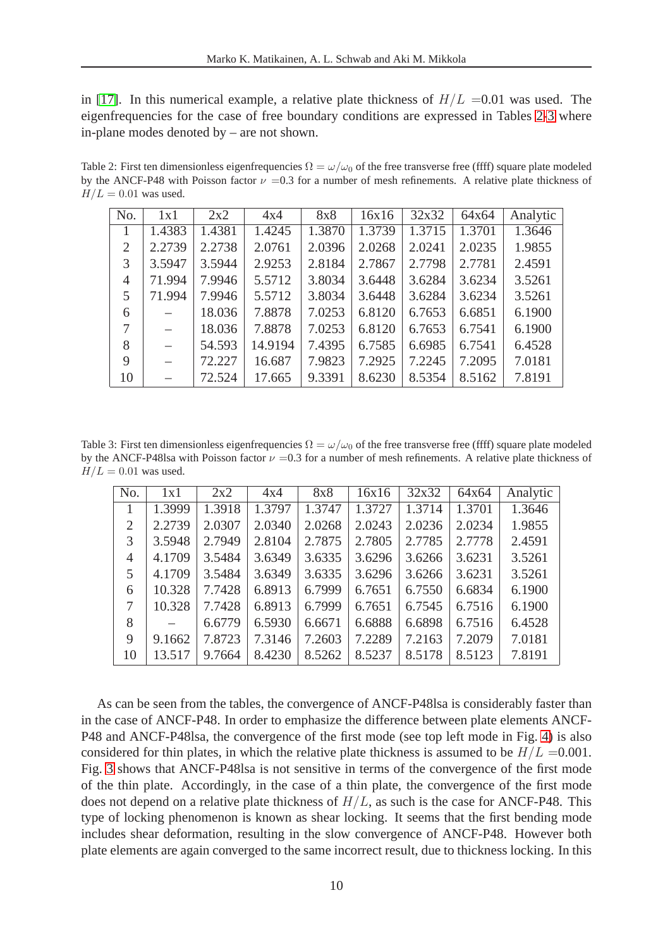in [\[17\]](#page-20-5). In this numerical example, a relative plate thickness of  $H/L = 0.01$  was used. The eigenfrequencies for the case of free boundary conditions are expressed in Tables [2](#page-9-0)[-3](#page-9-1) where in-plane modes denoted by – are not shown.

Table 2: First ten dimensionless eigenfrequencies  $\Omega = \omega/\omega_0$  of the free transverse free (ffff) square plate modeled by the ANCF-P48 with Poisson factor  $\nu =0.3$  for a number of mesh refinements. A relative plate thickness of  $H/L = 0.01$  was used.

<span id="page-9-0"></span>

| No.         | 1x1                      | 2x2    | 4x4     | 8x8    | 16x16               | 32x32  | 64x64  | Analytic |
|-------------|--------------------------|--------|---------|--------|---------------------|--------|--------|----------|
|             | 1.4383                   | 1.4381 | 1.4245  | 1.3870 | $\overline{1.3739}$ | 1.3715 | 1.3701 | 1.3646   |
| 2           | 2.2739                   | 2.2738 | 2.0761  | 2.0396 | 2.0268              | 2.0241 | 2.0235 | 1.9855   |
| 3           | 3.5947                   | 3.5944 | 2.9253  | 2.8184 | 2.7867              | 2.7798 | 2.7781 | 2.4591   |
| 4           | 71.994                   | 7.9946 | 5.5712  | 3.8034 | 3.6448              | 3.6284 | 3.6234 | 3.5261   |
| 5           | 71.994                   | 7.9946 | 5.5712  | 3.8034 | 3.6448              | 3.6284 | 3.6234 | 3.5261   |
| 6           |                          | 18.036 | 7.8878  | 7.0253 | 6.8120              | 6.7653 | 6.6851 | 6.1900   |
| 7           |                          | 18.036 | 7.8878  | 7.0253 | 6.8120              | 6.7653 | 6.7541 | 6.1900   |
| 8           | $\overline{\phantom{0}}$ | 54.593 | 14.9194 | 7.4395 | 6.7585              | 6.6985 | 6.7541 | 6.4528   |
| $\mathbf Q$ |                          | 72.227 | 16.687  | 7.9823 | 7.2925              | 7.2245 | 7.2095 | 7.0181   |
| 10          |                          | 72.524 | 17.665  | 9.3391 | 8.6230              | 8.5354 | 8.5162 | 7.8191   |

Table 3: First ten dimensionless eigenfrequencies  $\Omega = \omega/\omega_0$  of the free transverse free (ffff) square plate modeled by the ANCF-P48lsa with Poisson factor  $\nu = 0.3$  for a number of mesh refinements. A relative plate thickness of  $H/L = 0.01$  was used.

<span id="page-9-1"></span>

| No.            | 1x1    | 2x2    | 4x4    | 8x8    | 16x16  | 32x32  | 64x64  | Analytic |
|----------------|--------|--------|--------|--------|--------|--------|--------|----------|
|                | 1.3999 | 1.3918 | 1.3797 | 1.3747 | 1.3727 | 1.3714 | 1.3701 | 1.3646   |
| 2              | 2.2739 | 2.0307 | 2.0340 | 2.0268 | 2.0243 | 2.0236 | 2.0234 | 1.9855   |
| 3              | 3.5948 | 2.7949 | 2.8104 | 2.7875 | 2.7805 | 2.7785 | 2.7778 | 2.4591   |
| $\overline{4}$ | 4.1709 | 3.5484 | 3.6349 | 3.6335 | 3.6296 | 3.6266 | 3.6231 | 3.5261   |
| 5              | 4.1709 | 3.5484 | 3.6349 | 3.6335 | 3.6296 | 3.6266 | 3.6231 | 3.5261   |
| 6              | 10.328 | 7.7428 | 6.8913 | 6.7999 | 6.7651 | 6.7550 | 6.6834 | 6.1900   |
| 7              | 10.328 | 7.7428 | 6.8913 | 6.7999 | 6.7651 | 6.7545 | 6.7516 | 6.1900   |
| 8              |        | 6.6779 | 6.5930 | 6.6671 | 6.6888 | 6.6898 | 6.7516 | 6.4528   |
| 9              | 9.1662 | 7.8723 | 7.3146 | 7.2603 | 7.2289 | 7.2163 | 7.2079 | 7.0181   |
| 10             | 13.517 | 9.7664 | 8.4230 | 8.5262 | 8.5237 | 8.5178 | 8.5123 | 7.8191   |

As can be seen from the tables, the convergence of ANCF-P48lsa is considerably faster than in the case of ANCF-P48. In order to emphasize the difference between plate elements ANCF-P48 and ANCF-P48lsa, the convergence of the first mode (see top left mode in Fig. [4\)](#page-10-0) is also considered for thin plates, in which the relative plate thickness is assumed to be  $H/L = 0.001$ . Fig. [3](#page-10-1) shows that ANCF-P48lsa is not sensitive in terms of the convergence of the first mode of the thin plate. Accordingly, in the case of a thin plate, the convergence of the first mode does not depend on a relative plate thickness of  $H/L$ , as such is the case for ANCF-P48. This type of locking phenomenon is known as shear locking. It seems that the first bending mode includes shear deformation, resulting in the slow convergence of ANCF-P48. However both plate elements are again converged to the same incorrect result, due to thickness locking. In this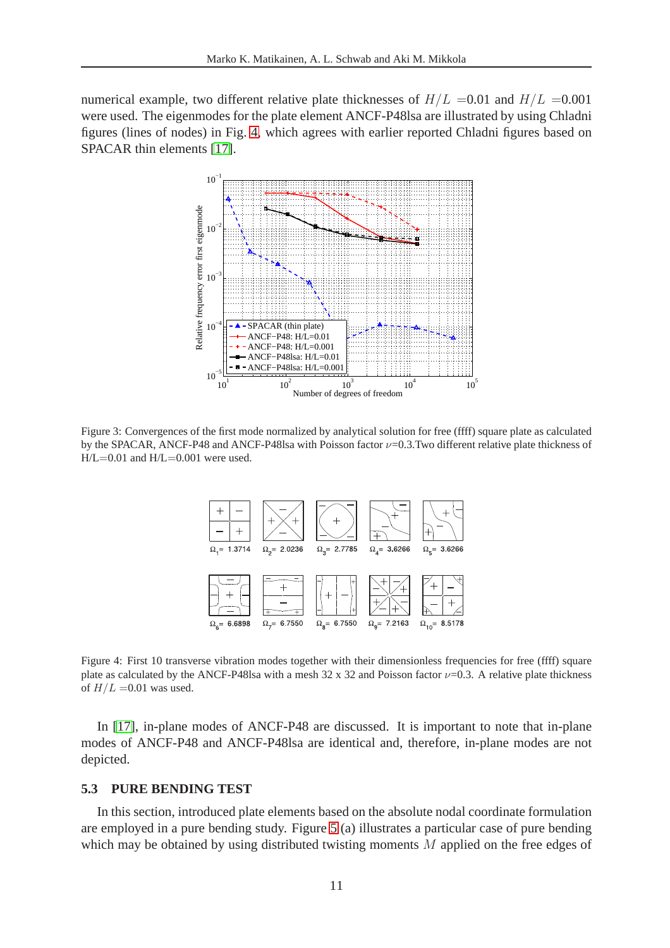numerical example, two different relative plate thicknesses of  $H/L = 0.01$  and  $H/L = 0.001$ were used. The eigenmodes for the plate element ANCF-P48lsa are illustrated by using Chladni figures (lines of nodes) in Fig. [4,](#page-10-0) which agrees with earlier reported Chladni figures based on SPACAR thin elements [\[17\]](#page-20-5).



<span id="page-10-1"></span>Figure 3: Convergences of the first mode normalized by analytical solution for free (ffff) square plate as calculated by the SPACAR, ANCF-P48 and ANCF-P48lsa with Poisson factor  $\nu$ =0.3.Two different relative plate thickness of  $H/L=0.01$  and  $H/L=0.001$  were used.



<span id="page-10-0"></span>Figure 4: First 10 transverse vibration modes together with their dimensionless frequencies for free (ffff) square plate as calculated by the ANCF-P48lsa with a mesh 32 x 32 and Poisson factor  $\nu$ =0.3. A relative plate thickness of  $H/L = 0.01$  was used.

In [\[17\]](#page-20-5), in-plane modes of ANCF-P48 are discussed. It is important to note that in-plane modes of ANCF-P48 and ANCF-P48lsa are identical and, therefore, in-plane modes are not depicted.

### **5.3 PURE BENDING TEST**

In this section, introduced plate elements based on the absolute nodal coordinate formulation are employed in a pure bending study. Figure [5](#page-11-0) (a) illustrates a particular case of pure bending which may be obtained by using distributed twisting moments M applied on the free edges of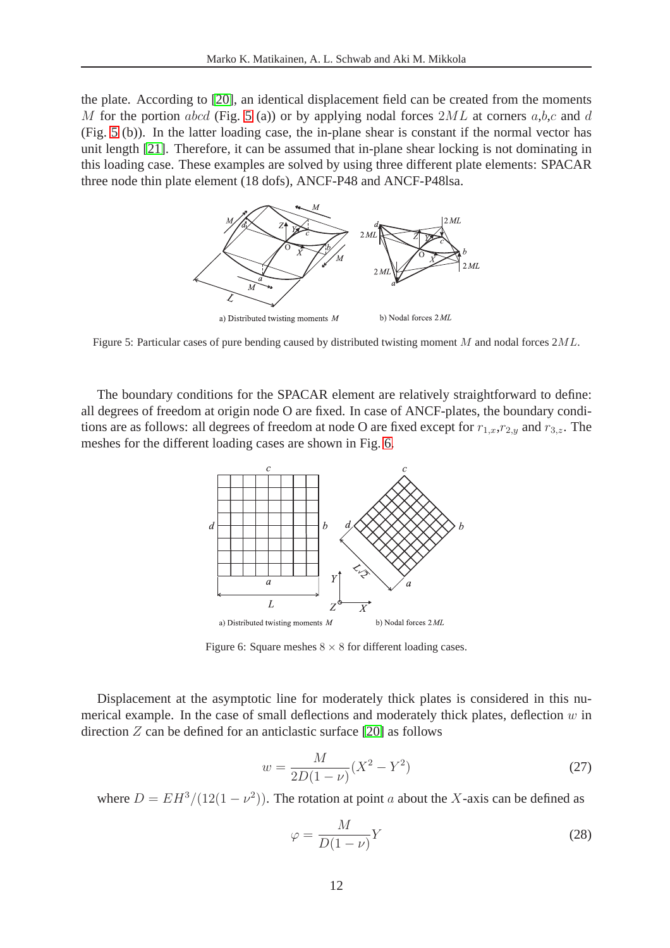the plate. According to [\[20\]](#page-20-8), an identical displacement field can be created from the moments M for the portion abcd (Fig. [5](#page-11-0) (a)) or by applying nodal forces  $2ML$  at corners a,b,c and d (Fig. [5](#page-11-0) (b)). In the latter loading case, the in-plane shear is constant if the normal vector has unit length [\[21\]](#page-20-9). Therefore, it can be assumed that in-plane shear locking is not dominating in this loading case. These examples are solved by using three different plate elements: SPACAR three node thin plate element (18 dofs), ANCF-P48 and ANCF-P48lsa.



<span id="page-11-0"></span>Figure 5: Particular cases of pure bending caused by distributed twisting moment M and nodal forces 2ML.

The boundary conditions for the SPACAR element are relatively straightforward to define: all degrees of freedom at origin node O are fixed. In case of ANCF-plates, the boundary conditions are as follows: all degrees of freedom at node O are fixed except for  $r_{1,x},r_{2,y}$  and  $r_{3,z}$ . The meshes for the different loading cases are shown in Fig. [6.](#page-11-1)



<span id="page-11-1"></span>Figure 6: Square meshes  $8 \times 8$  for different loading cases.

<span id="page-11-2"></span>Displacement at the asymptotic line for moderately thick plates is considered in this numerical example. In the case of small deflections and moderately thick plates, deflection  $w$  in direction  $Z$  can be defined for an anticlastic surface [\[20\]](#page-20-8) as follows

$$
w = \frac{M}{2D(1-\nu)}(X^2 - Y^2)
$$
\n(27)

<span id="page-11-3"></span>where  $D = EH^3/(12(1 - \nu^2))$ . The rotation at point a about the X-axis can be defined as

$$
\varphi = \frac{M}{D(1-\nu)}Y\tag{28}
$$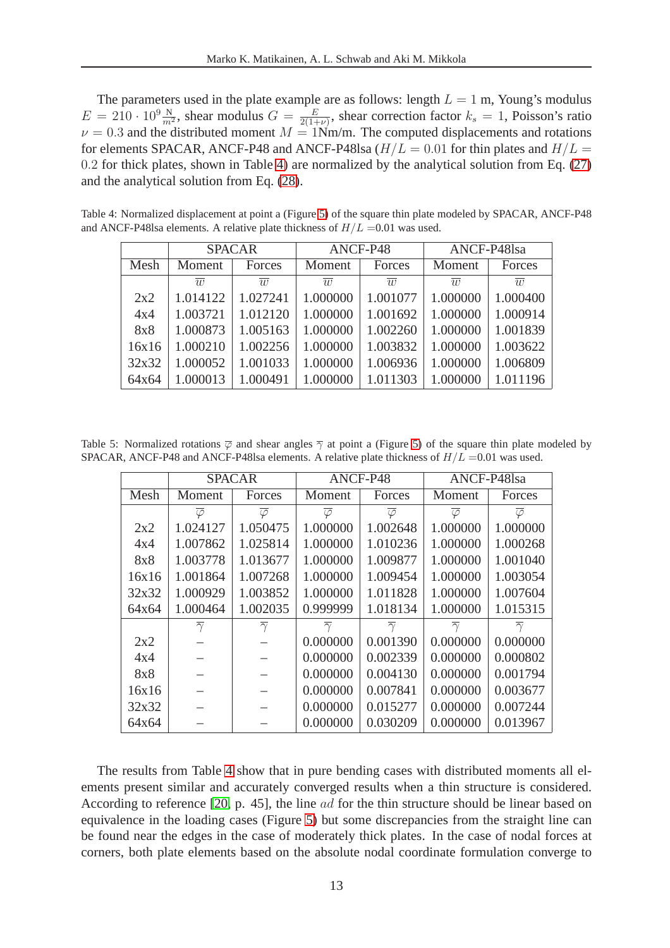The parameters used in the plate example are as follows: length  $L = 1$  m, Young's modulus  $E = 210 \cdot 10^9 \frac{\text{N}}{m^2}$ , shear modulus  $G = \frac{E}{2(1+1)}$  $\frac{E}{2(1+\nu)}$ , shear correction factor  $k_s = 1$ , Poisson's ratio  $\nu = 0.3$  and the distributed moment  $M = 1$ Nm/m. The computed displacements and rotations for elements SPACAR, ANCF-P48 and ANCF-P48lsa  $(H/L = 0.01$  for thin plates and  $H/L =$ 0.2 for thick plates, shown in Table [4\)](#page-12-0) are normalized by the analytical solution from Eq. [\(27\)](#page-11-2) and the analytical solution from Eq. [\(28\)](#page-11-3).

Table 4: Normalized displacement at point a (Figure [5\)](#page-11-0) of the square thin plate modeled by SPACAR, ANCF-P48 and ANCF-P48lsa elements. A relative plate thickness of  $H/L = 0.01$  was used.

<span id="page-12-0"></span>

|            | <b>SPACAR</b>  |                | ANCF-P48       |                | ANCF-P48lsa    |                |  |
|------------|----------------|----------------|----------------|----------------|----------------|----------------|--|
| Mesh       | Moment         | Forces         | Moment         | Forces         | Moment         | Forces         |  |
|            | $\overline{w}$ | $\overline{w}$ | $\overline{w}$ | $\overline{w}$ | $\overline{w}$ | $\overline{w}$ |  |
| 2x2        | 1.014122       | 1.027241       | 1.000000       | 1.001077       | 1.000000       | 1.000400       |  |
| 4x4        | 1.003721       | 1.012120       | 1.000000       | 1.001692       | 1.000000       | 1.000914       |  |
| <b>8x8</b> | 1.000873       | 1.005163       | 1.000000       | 1.002260       | 1.000000       | 1.001839       |  |
| 16x16      | 1.000210       | 1.002256       | 1.000000       | 1.003832       | 1.000000       | 1.003622       |  |
| 32x32      | 1.000052       | 1.001033       | 1.000000       | 1.006936       | 1.000000       | 1.006809       |  |
| 64x64      | 1.000013       | 1.000491       | 1.000000       | 1.011303       | 1.000000       | 1.011196       |  |

Table 5: Normalized rotations  $\overline{\varphi}$  and shear angles  $\overline{\gamma}$  at point a (Figure [5\)](#page-11-0) of the square thin plate modeled by SPACAR, ANCF-P48 and ANCF-P48lsa elements. A relative plate thickness of  $H/L = 0.01$  was used.

<span id="page-12-1"></span>

|       |                      | <b>SPACAR</b>        |                      | ANCF-P48             | ANCF-P48lsa          |                      |  |
|-------|----------------------|----------------------|----------------------|----------------------|----------------------|----------------------|--|
| Mesh  | Moment               | Forces               | Moment               | Forces               | Moment               | Forces               |  |
|       | $\overline{\varphi}$ | $\overline{\varphi}$ | $\overline{\varphi}$ | $\overline{\varphi}$ | $\overline{\varphi}$ | $\overline{\varphi}$ |  |
| 2x2   | 1.024127             | 1.050475             | 1.000000             | 1.002648             | 1.000000             | 1.000000             |  |
| 4x4   | 1.007862             | 1.025814             | 1.000000             | 1.010236             | 1.000000             | 1.000268             |  |
| 8x8   | 1.003778             | 1.013677             | 1.000000             | 1.009877             | 1.000000             | 1.001040             |  |
| 16x16 | 1.001864             | 1.007268             | 1.000000             | 1.009454             | 1.000000             | 1.003054             |  |
| 32x32 | 1.000929             | 1.003852             | 1.000000             | 1.011828             | 1.000000             | 1.007604             |  |
| 64x64 | 1.000464             | 1.002035             | 0.999999             | 1.018134             | 1.000000             | 1.015315             |  |
|       | $\overline{\gamma}$  | $\overline{\gamma}$  | $\overline{\gamma}$  | $\overline{\gamma}$  | $\overline{\gamma}$  | $\overline{\gamma}$  |  |
| 2x2   |                      |                      | 0.000000             | 0.001390             | 0.000000             | 0.000000             |  |
| 4x4   |                      |                      | 0.000000             | 0.002339             | 0.000000             | 0.000802             |  |
| 8x8   |                      |                      | 0.000000             | 0.004130             | 0.000000             | 0.001794             |  |
| 16x16 |                      |                      | 0.000000             | 0.007841             | 0.000000             | 0.003677             |  |
| 32x32 |                      |                      | 0.000000             | 0.015277             | 0.000000             | 0.007244             |  |
| 64x64 |                      |                      | 0.000000             | 0.030209             | 0.000000             | 0.013967             |  |

The results from Table [4](#page-12-0) show that in pure bending cases with distributed moments all elements present similar and accurately converged results when a thin structure is considered. According to reference [\[20,](#page-20-8) p. 45], the line ad for the thin structure should be linear based on equivalence in the loading cases (Figure [5\)](#page-11-0) but some discrepancies from the straight line can be found near the edges in the case of moderately thick plates. In the case of nodal forces at corners, both plate elements based on the absolute nodal coordinate formulation converge to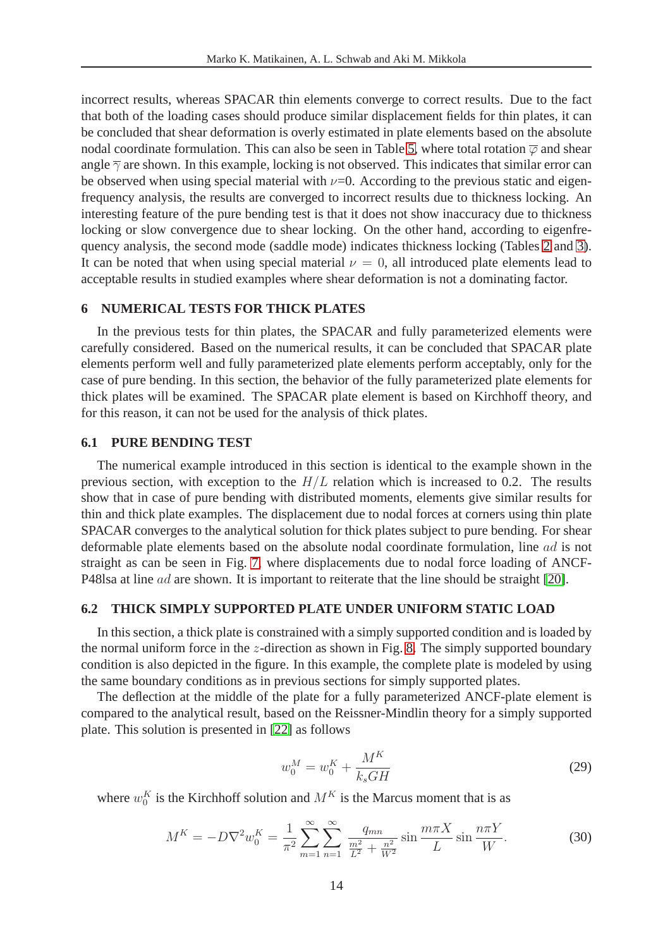incorrect results, whereas SPACAR thin elements converge to correct results. Due to the fact that both of the loading cases should produce similar displacement fields for thin plates, it can be concluded that shear deformation is overly estimated in plate elements based on the absolute nodal coordinate formulation. This can also be seen in Table [5,](#page-12-1) where total rotation  $\overline{\varphi}$  and shear angle  $\overline{\gamma}$  are shown. In this example, locking is not observed. This indicates that similar error can be observed when using special material with  $\nu$ =0. According to the previous static and eigenfrequency analysis, the results are converged to incorrect results due to thickness locking. An interesting feature of the pure bending test is that it does not show inaccuracy due to thickness locking or slow convergence due to shear locking. On the other hand, according to eigenfrequency analysis, the second mode (saddle mode) indicates thickness locking (Tables [2](#page-9-0) and [3\)](#page-9-1). It can be noted that when using special material  $\nu = 0$ , all introduced plate elements lead to acceptable results in studied examples where shear deformation is not a dominating factor.

### **6 NUMERICAL TESTS FOR THICK PLATES**

In the previous tests for thin plates, the SPACAR and fully parameterized elements were carefully considered. Based on the numerical results, it can be concluded that SPACAR plate elements perform well and fully parameterized plate elements perform acceptably, only for the case of pure bending. In this section, the behavior of the fully parameterized plate elements for thick plates will be examined. The SPACAR plate element is based on Kirchhoff theory, and for this reason, it can not be used for the analysis of thick plates.

### **6.1 PURE BENDING TEST**

The numerical example introduced in this section is identical to the example shown in the previous section, with exception to the  $H/L$  relation which is increased to 0.2. The results show that in case of pure bending with distributed moments, elements give similar results for thin and thick plate examples. The displacement due to nodal forces at corners using thin plate SPACAR converges to the analytical solution for thick plates subject to pure bending. For shear deformable plate elements based on the absolute nodal coordinate formulation, line ad is not straight as can be seen in Fig. [7,](#page-15-0) where displacements due to nodal force loading of ANCF-P48lsa at line ad are shown. It is important to reiterate that the line should be straight [\[20\]](#page-20-8).

### **6.2 THICK SIMPLY SUPPORTED PLATE UNDER UNIFORM STATIC LOAD**

In this section, a thick plate is constrained with a simply supported condition and is loaded by the normal uniform force in the z-direction as shown in Fig. [8.](#page-15-1) The simply supported boundary condition is also depicted in the figure. In this example, the complete plate is modeled by using the same boundary conditions as in previous sections for simply supported plates.

<span id="page-13-0"></span>The deflection at the middle of the plate for a fully parameterized ANCF-plate element is compared to the analytical result, based on the Reissner-Mindlin theory for a simply supported plate. This solution is presented in [\[22\]](#page-20-10) as follows

$$
w_0^M = w_0^K + \frac{M^K}{k_s G H}
$$
 (29)

where  $w_0^K$  is the Kirchhoff solution and  $M^K$  is the Marcus moment that is as

$$
M^{K} = -D\nabla^{2}w_{0}^{K} = \frac{1}{\pi^{2}}\sum_{m=1}^{\infty}\sum_{n=1}^{\infty}\frac{q_{mn}}{L^{2} + \frac{n^{2}}{W^{2}}}\sin\frac{m\pi X}{L}\sin\frac{n\pi Y}{W}.
$$
 (30)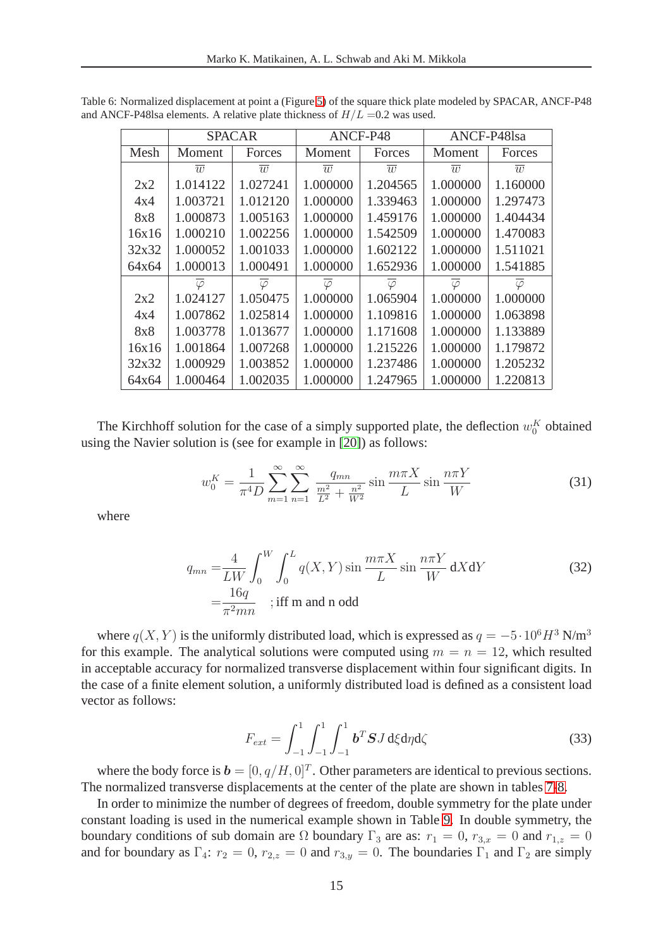|       |                | <b>SPACAR</b>  | ANCF-P48       |                      |                | ANCF-P48lsa    |
|-------|----------------|----------------|----------------|----------------------|----------------|----------------|
| Mesh  | Moment         | Forces         | Moment         | Forces               | Moment         | Forces         |
|       | $\overline{w}$ | $\overline{w}$ | $\overline{w}$ | $\overline{w}$       | $\overline{w}$ | $\overline{w}$ |
| 2x2   | 1.014122       | 1.027241       | 1.000000       | 1.204565             | 1.000000       | 1.160000       |
| 4x4   | 1.003721       | 1.012120       | 1.000000       | 1.339463             | 1.000000       | 1.297473       |
| 8x8   | 1.000873       | 1.005163       | 1.000000       | 1.459176             | 1.000000       | 1.404434       |
| 16x16 | 1.000210       | 1.002256       | 1.000000       | 1.542509             | 1.000000       | 1.470083       |
| 32x32 | 1.000052       | 1.001033       | 1.000000       | 1.602122             | 1.000000       | 1.511021       |
| 64x64 | 1.000013       | 1.000491       | 1.000000       | 1.652936             | 1.000000       | 1.541885       |
|       | $\varphi$      | $\varphi$      | $\varphi$      | $\overline{\varphi}$ | $\varphi$      | $\varphi$      |
| 2x2   | 1.024127       | 1.050475       | 1.000000       | 1.065904             | 1.000000       | 1.000000       |
| 4x4   | 1.007862       | 1.025814       | 1.000000       | 1.109816             | 1.000000       | 1.063898       |
| 8x8   | 1.003778       | 1.013677       | 1.000000       | 1.171608             | 1.000000       | 1.133889       |
| 16x16 | 1.001864       | 1.007268       | 1.000000       | 1.215226             | 1.000000       | 1.179872       |
| 32x32 | 1.000929       | 1.003852       | 1.000000       | 1.237486             | 1.000000       | 1.205232       |
| 64x64 | 1.000464       | 1.002035       | 1.000000       | 1.247965             | 1.000000       | 1.220813       |

Table 6: Normalized displacement at point a (Figure [5\)](#page-11-0) of the square thick plate modeled by SPACAR, ANCF-P48 and ANCF-P48lsa elements. A relative plate thickness of  $H/L = 0.2$  was used.

The Kirchhoff solution for the case of a simply supported plate, the deflection  $w_0^K$  obtained using the Navier solution is (see for example in [\[20\]](#page-20-8)) as follows:

$$
w_0^K = \frac{1}{\pi^4 D} \sum_{m=1}^{\infty} \sum_{n=1}^{\infty} \frac{q_{mn}}{\frac{m^2}{L^2} + \frac{n^2}{W^2}} \sin \frac{m\pi X}{L} \sin \frac{n\pi Y}{W}
$$
(31)

where

$$
q_{mn} = \frac{4}{LW} \int_0^W \int_0^L q(X, Y) \sin \frac{m\pi X}{L} \sin \frac{n\pi Y}{W} dX dY
$$
  
= 
$$
\frac{16q}{\pi^2 mn}
$$
; iff m and n odd (32)

where  $q(X, Y)$  is the uniformly distributed load, which is expressed as  $q = -5 \cdot 10^6 H^3$  N/m<sup>3</sup> for this example. The analytical solutions were computed using  $m = n = 12$ , which resulted in acceptable accuracy for normalized transverse displacement within four significant digits. In the case of a finite element solution, a uniformly distributed load is defined as a consistent load vector as follows:

$$
F_{ext} = \int_{-1}^{1} \int_{-1}^{1} \int_{-1}^{1} b^T S J \, d\xi d\eta d\zeta
$$
 (33)

where the body force is  $\mathbf{b} = [0, q/H, 0]^T$ . Other parameters are identical to previous sections. The normalized transverse displacements at the center of the plate are shown in tables [7](#page-16-0)[-8.](#page-16-1)

In order to minimize the number of degrees of freedom, double symmetry for the plate under constant loading is used in the numerical example shown in Table [9.](#page-16-2) In double symmetry, the boundary conditions of sub domain are  $\Omega$  boundary  $\Gamma_3$  are as:  $r_1 = 0$ ,  $r_{3,x} = 0$  and  $r_{1,z} = 0$ and for boundary as  $\Gamma_4$ :  $r_2 = 0$ ,  $r_{2,z} = 0$  and  $r_{3,y} = 0$ . The boundaries  $\Gamma_1$  and  $\Gamma_2$  are simply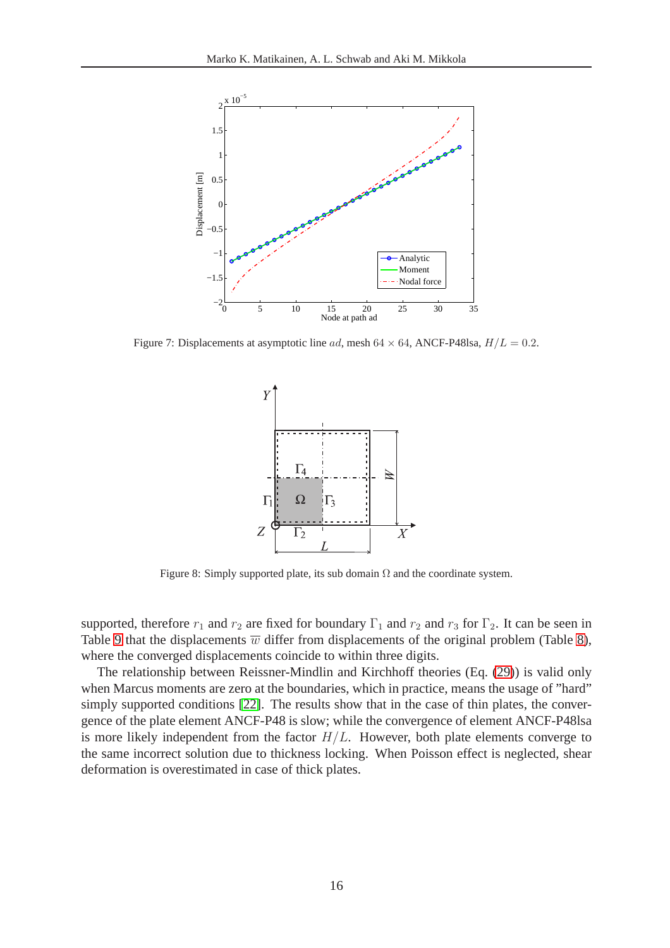

<span id="page-15-0"></span>Figure 7: Displacements at asymptotic line *ad*, mesh  $64 \times 64$ , ANCF-P48lsa,  $H/L = 0.2$ .



<span id="page-15-1"></span>Figure 8: Simply supported plate, its sub domain  $\Omega$  and the coordinate system.

supported, therefore  $r_1$  and  $r_2$  are fixed for boundary  $\Gamma_1$  and  $r_2$  and  $r_3$  for  $\Gamma_2$ . It can be seen in Table [9](#page-16-2) that the displacements  $\overline{w}$  differ from displacements of the original problem (Table [8\)](#page-16-1), where the converged displacements coincide to within three digits.

The relationship between Reissner-Mindlin and Kirchhoff theories (Eq. [\(29\)](#page-13-0)) is valid only when Marcus moments are zero at the boundaries, which in practice, means the usage of "hard" simply supported conditions [\[22\]](#page-20-10). The results show that in the case of thin plates, the convergence of the plate element ANCF-P48 is slow; while the convergence of element ANCF-P48lsa is more likely independent from the factor  $H/L$ . However, both plate elements converge to the same incorrect solution due to thickness locking. When Poisson effect is neglected, shear deformation is overestimated in case of thick plates.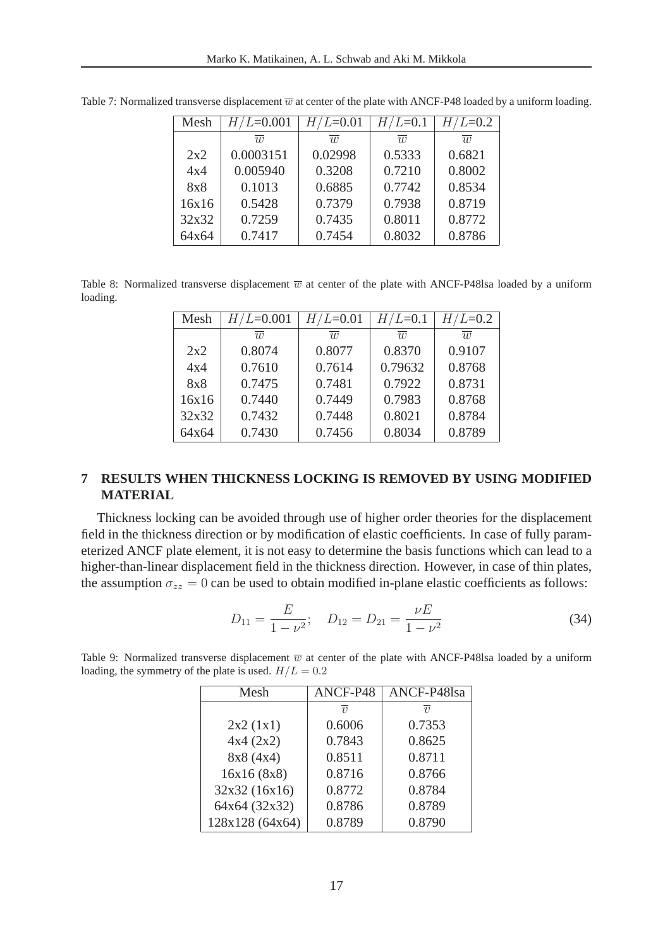| Mesh  | $H/L = 0.001$ | $H/L = 0.01$   | $H/L = 0.1$    | $H/L = 0.2$    |  |
|-------|---------------|----------------|----------------|----------------|--|
|       | $\eta$        | $\overline{w}$ | $\overline{w}$ | $\overline{w}$ |  |
| 2x2   | 0.0003151     | 0.02998        | 0.5333         | 0.6821         |  |
| 4x4   | 0.005940      | 0.3208         | 0.7210         | 0.8002         |  |
| 8x8   | 0.1013        | 0.6885         | 0.7742         | 0.8534         |  |
| 16x16 | 0.5428        | 0.7379         | 0.7938         | 0.8719         |  |
| 32x32 | 0.7259        | 0.7435         | 0.8011         | 0.8772         |  |
| 64x64 | 0.7417        | 0.7454         | 0.8032         | 0.8786         |  |

<span id="page-16-0"></span>Table 7: Normalized transverse displacement  $\overline{w}$  at center of the plate with ANCF-P48 loaded by a uniform loading.

<span id="page-16-1"></span>Table 8: Normalized transverse displacement  $\overline{w}$  at center of the plate with ANCF-P48lsa loaded by a uniform loading.

| Mesh       | $H/L = 0.001$  | $H/L$ =0.01    | $H/L = 0.1$    | $/L = 0.2$     |
|------------|----------------|----------------|----------------|----------------|
|            | $\overline{w}$ | $\overline{w}$ | $\overline{w}$ | $\overline{w}$ |
| 2x2        | 0.8074         | 0.8077         | 0.8370         | 0.9107         |
| 4x4        | 0.7610         | 0.7614         | 0.79632        | 0.8768         |
| <b>8x8</b> | 0.7475         | 0.7481         | 0.7922         | 0.8731         |
| 16x16      | 0.7440         | 0.7449         | 0.7983         | 0.8768         |
| 32x32      | 0.7432         | 0.7448         | 0.8021         | 0.8784         |
| 64x64      | 0.7430         | 0.7456         | 0.8034         | 0.8789         |

## **7 RESULTS WHEN THICKNESS LOCKING IS REMOVED BY USING MODIFIED MATERIAL**

Thickness locking can be avoided through use of higher order theories for the displacement field in the thickness direction or by modification of elastic coefficients. In case of fully parameterized ANCF plate element, it is not easy to determine the basis functions which can lead to a higher-than-linear displacement field in the thickness direction. However, in case of thin plates, the assumption  $\sigma_{zz} = 0$  can be used to obtain modified in-plane elastic coefficients as follows:

$$
D_{11} = \frac{E}{1 - \nu^2}; \quad D_{12} = D_{21} = \frac{\nu E}{1 - \nu^2}
$$
 (34)

| Mesh            | ANCF-P48          | ANCF-P48lsa |
|-----------------|-------------------|-------------|
|                 |                   |             |
|                 | $\overline{\eta}$ | $\eta$      |
| 2x2(1x1)        | 0.6006            | 0.7353      |
| 4x4(2x2)        | 0.7843            | 0.8625      |
| 8x8(4x4)        | 0.8511            | 0.8711      |
| 16x16(8x8)      | 0.8716            | 0.8766      |
| 32x32 (16x16)   | 0.8772            | 0.8784      |
| 64x64 (32x32)   | 0.8786            | 0.8789      |
| 128x128 (64x64) | 0.8789            | 0.8790      |

<span id="page-16-2"></span>Table 9: Normalized transverse displacement  $\overline{w}$  at center of the plate with ANCF-P48lsa loaded by a uniform loading, the symmetry of the plate is used.  $H/L = 0.2$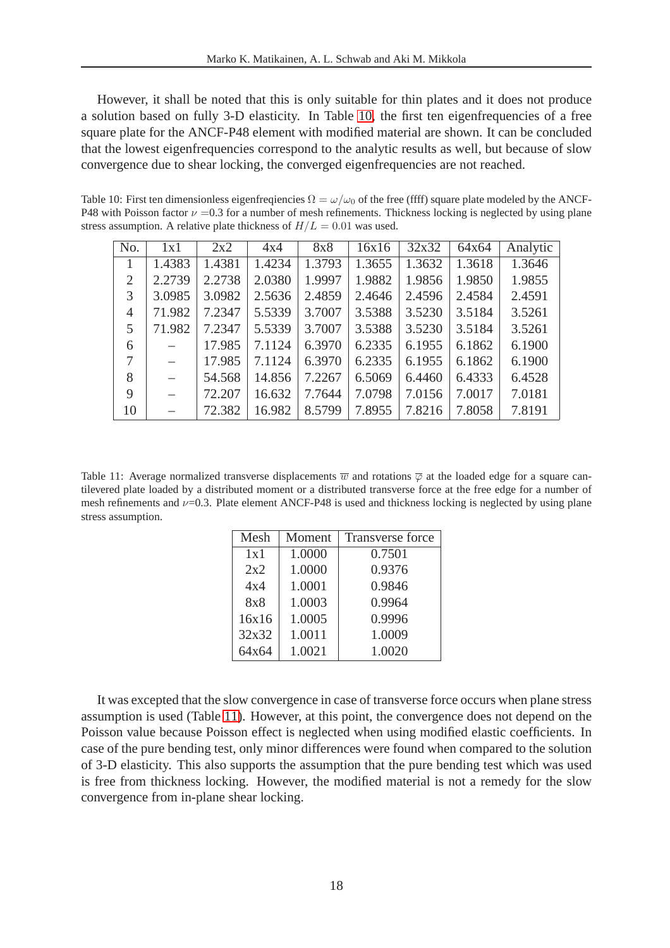However, it shall be noted that this is only suitable for thin plates and it does not produce a solution based on fully 3-D elasticity. In Table [10,](#page-17-0) the first ten eigenfrequencies of a free square plate for the ANCF-P48 element with modified material are shown. It can be concluded that the lowest eigenfrequencies correspond to the analytic results as well, but because of slow convergence due to shear locking, the converged eigenfrequencies are not reached.

Table 10: First ten dimensionless eigenfreqiencies  $\Omega = \omega/\omega_0$  of the free (ffff) square plate modeled by the ANCF-P48 with Poisson factor  $\nu = 0.3$  for a number of mesh refinements. Thickness locking is neglected by using plane stress assumption. A relative plate thickness of  $H/L = 0.01$  was used.

<span id="page-17-0"></span>

| No.            | 1x1               | 2x2    | 4x4    | 8x8    | 16x16  | 32x32  | 64x64  | Analytic |
|----------------|-------------------|--------|--------|--------|--------|--------|--------|----------|
| $\mathbf{1}$   | 1.4383            | 1.4381 | 1.4234 | 1.3793 | 1.3655 | 1.3632 | 1.3618 | 1.3646   |
| $\overline{2}$ | 2.2739            | 2.2738 | 2.0380 | 1.9997 | 1.9882 | 1.9856 | 1.9850 | 1.9855   |
| 3              | 3.0985            | 3.0982 | 2.5636 | 2.4859 | 2.4646 | 2.4596 | 2.4584 | 2.4591   |
| 4              | 71.982            | 7.2347 | 5.5339 | 3.7007 | 3.5388 | 3.5230 | 3.5184 | 3.5261   |
| 5              | 71.982            | 7.2347 | 5.5339 | 3.7007 | 3.5388 | 3.5230 | 3.5184 | 3.5261   |
| 6              |                   | 17.985 | 7.1124 | 6.3970 | 6.2335 | 6.1955 | 6.1862 | 6.1900   |
| 7              | $\qquad \qquad -$ | 17.985 | 7.1124 | 6.3970 | 6.2335 | 6.1955 | 6.1862 | 6.1900   |
| 8              | $\qquad \qquad -$ | 54.568 | 14.856 | 7.2267 | 6.5069 | 6.4460 | 6.4333 | 6.4528   |
| 9              | $-$               | 72.207 | 16.632 | 7.7644 | 7.0798 | 7.0156 | 7.0017 | 7.0181   |
| 10             |                   | 72.382 | 16.982 | 8.5799 | 7.8955 | 7.8216 | 7.8058 | 7.8191   |

<span id="page-17-1"></span>Table 11: Average normalized transverse displacements  $\overline{w}$  and rotations  $\overline{\varphi}$  at the loaded edge for a square cantilevered plate loaded by a distributed moment or a distributed transverse force at the free edge for a number of mesh refinements and  $\nu$ =0.3. Plate element ANCF-P48 is used and thickness locking is neglected by using plane stress assumption.

| Mesh  | Moment | <b>Transverse force</b> |
|-------|--------|-------------------------|
| 1x1   | 1.0000 | 0.7501                  |
| 2x2   | 1.0000 | 0.9376                  |
| 4x4   | 1.0001 | 0.9846                  |
| 8x8   | 1.0003 | 0.9964                  |
| 16x16 | 1.0005 | 0.9996                  |
| 32x32 | 1.0011 | 1.0009                  |
| 64x64 | 1.0021 | 1.0020                  |

It was excepted that the slow convergence in case of transverse force occurs when plane stress assumption is used (Table [11\)](#page-17-1). However, at this point, the convergence does not depend on the Poisson value because Poisson effect is neglected when using modified elastic coefficients. In case of the pure bending test, only minor differences were found when compared to the solution of 3-D elasticity. This also supports the assumption that the pure bending test which was used is free from thickness locking. However, the modified material is not a remedy for the slow convergence from in-plane shear locking.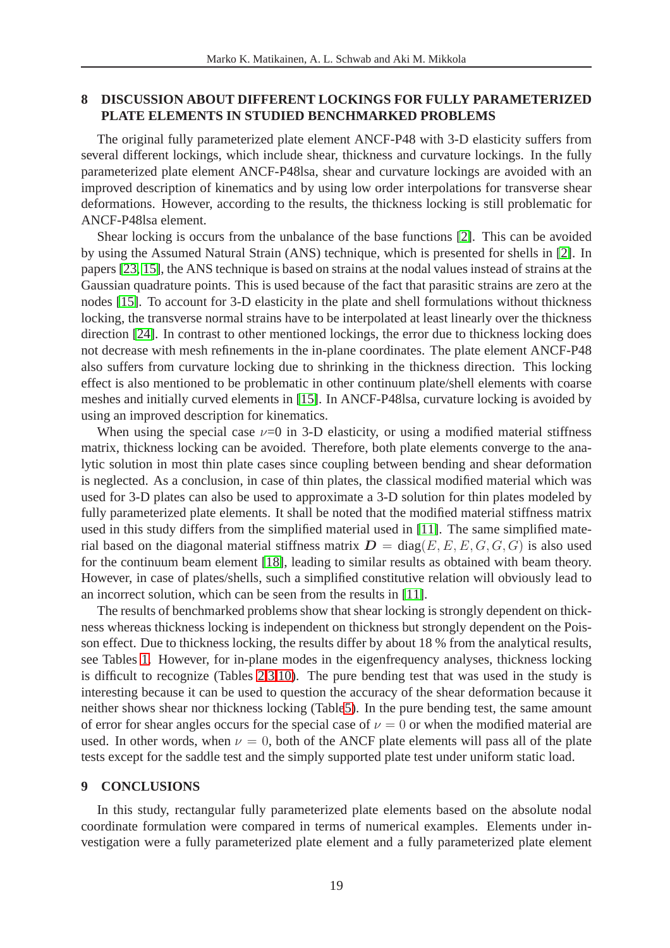## **8 DISCUSSION ABOUT DIFFERENT LOCKINGS FOR FULLY PARAMETERIZED PLATE ELEMENTS IN STUDIED BENCHMARKED PROBLEMS**

The original fully parameterized plate element ANCF-P48 with 3-D elasticity suffers from several different lockings, which include shear, thickness and curvature lockings. In the fully parameterized plate element ANCF-P48lsa, shear and curvature lockings are avoided with an improved description of kinematics and by using low order interpolations for transverse shear deformations. However, according to the results, the thickness locking is still problematic for ANCF-P48lsa element.

Shear locking is occurs from the unbalance of the base functions [\[2\]](#page-19-1). This can be avoided by using the Assumed Natural Strain (ANS) technique, which is presented for shells in [\[2\]](#page-19-1). In papers [\[23,](#page-20-11) [15\]](#page-20-3), the ANS technique is based on strains at the nodal values instead of strains at the Gaussian quadrature points. This is used because of the fact that parasitic strains are zero at the nodes [\[15\]](#page-20-3). To account for 3-D elasticity in the plate and shell formulations without thickness locking, the transverse normal strains have to be interpolated at least linearly over the thickness direction [\[24\]](#page-20-12). In contrast to other mentioned lockings, the error due to thickness locking does not decrease with mesh refinements in the in-plane coordinates. The plate element ANCF-P48 also suffers from curvature locking due to shrinking in the thickness direction. This locking effect is also mentioned to be problematic in other continuum plate/shell elements with coarse meshes and initially curved elements in [\[15\]](#page-20-3). In ANCF-P48lsa, curvature locking is avoided by using an improved description for kinematics.

When using the special case  $\nu=0$  in 3-D elasticity, or using a modified material stiffness matrix, thickness locking can be avoided. Therefore, both plate elements converge to the analytic solution in most thin plate cases since coupling between bending and shear deformation is neglected. As a conclusion, in case of thin plates, the classical modified material which was used for 3-D plates can also be used to approximate a 3-D solution for thin plates modeled by fully parameterized plate elements. It shall be noted that the modified material stiffness matrix used in this study differs from the simplified material used in [\[11\]](#page-19-10). The same simplified material based on the diagonal material stiffness matrix  $D = diag(E, E, E, G, G, G)$  is also used for the continuum beam element [\[18\]](#page-20-6), leading to similar results as obtained with beam theory. However, in case of plates/shells, such a simplified constitutive relation will obviously lead to an incorrect solution, which can be seen from the results in [\[11\]](#page-19-10).

The results of benchmarked problems show that shear locking is strongly dependent on thickness whereas thickness locking is independent on thickness but strongly dependent on the Poisson effect. Due to thickness locking, the results differ by about 18 % from the analytical results, see Tables [1.](#page-8-0) However, for in-plane modes in the eigenfrequency analyses, thickness locking is difficult to recognize (Tables [2,](#page-9-0)[3,](#page-9-1)[10\)](#page-17-0). The pure bending test that was used in the study is interesting because it can be used to question the accuracy of the shear deformation because it neither shows shear nor thickness locking (Tabl[e5\)](#page-12-1). In the pure bending test, the same amount of error for shear angles occurs for the special case of  $\nu = 0$  or when the modified material are used. In other words, when  $\nu = 0$ , both of the ANCF plate elements will pass all of the plate tests except for the saddle test and the simply supported plate test under uniform static load.

### **9 CONCLUSIONS**

In this study, rectangular fully parameterized plate elements based on the absolute nodal coordinate formulation were compared in terms of numerical examples. Elements under investigation were a fully parameterized plate element and a fully parameterized plate element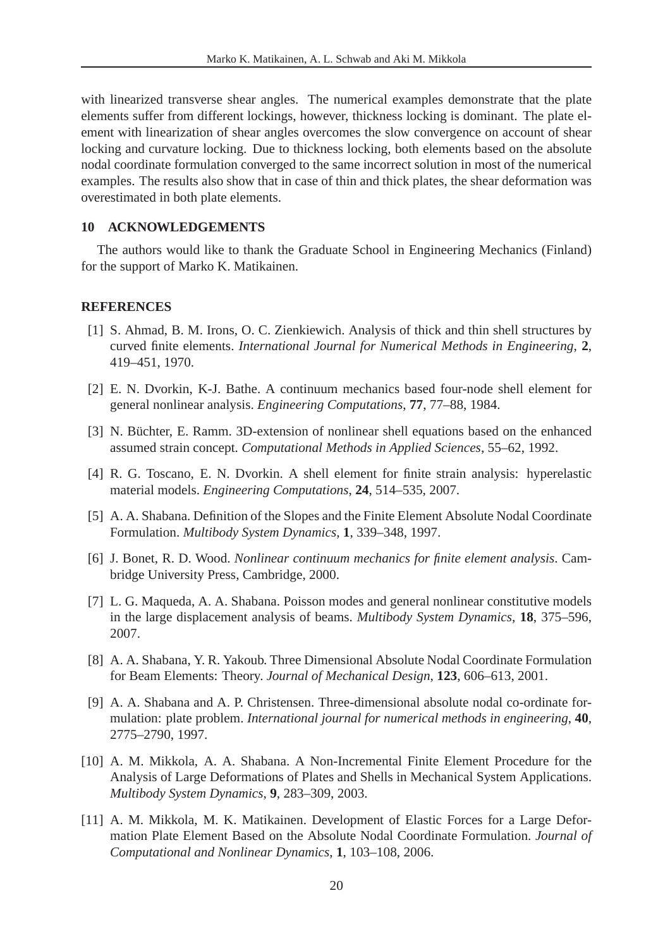with linearized transverse shear angles. The numerical examples demonstrate that the plate elements suffer from different lockings, however, thickness locking is dominant. The plate element with linearization of shear angles overcomes the slow convergence on account of shear locking and curvature locking. Due to thickness locking, both elements based on the absolute nodal coordinate formulation converged to the same incorrect solution in most of the numerical examples. The results also show that in case of thin and thick plates, the shear deformation was overestimated in both plate elements.

### **10 ACKNOWLEDGEMENTS**

The authors would like to thank the Graduate School in Engineering Mechanics (Finland) for the support of Marko K. Matikainen.

### <span id="page-19-0"></span>**REFERENCES**

- [1] S. Ahmad, B. M. Irons, O. C. Zienkiewich. Analysis of thick and thin shell structures by curved finite elements. *International Journal for Numerical Methods in Engineering*, **2**, 419–451, 1970.
- <span id="page-19-2"></span><span id="page-19-1"></span>[2] E. N. Dvorkin, K-J. Bathe. A continuum mechanics based four-node shell element for general nonlinear analysis. *Engineering Computations*, **77**, 77–88, 1984.
- <span id="page-19-3"></span>[3] N. Büchter, E. Ramm. 3D-extension of nonlinear shell equations based on the enhanced assumed strain concept. *Computational Methods in Applied Sciences*, 55–62, 1992.
- <span id="page-19-4"></span>[4] R. G. Toscano, E. N. Dvorkin. A shell element for finite strain analysis: hyperelastic material models. *Engineering Computations*, **24**, 514–535, 2007.
- <span id="page-19-5"></span>[5] A. A. Shabana. Definition of the Slopes and the Finite Element Absolute Nodal Coordinate Formulation. *Multibody System Dynamics*, **1**, 339–348, 1997.
- [6] J. Bonet, R. D. Wood. *Nonlinear continuum mechanics for finite element analysis*. Cambridge University Press, Cambridge, 2000.
- <span id="page-19-6"></span>[7] L. G. Maqueda, A. A. Shabana. Poisson modes and general nonlinear constitutive models in the large displacement analysis of beams. *Multibody System Dynamics*, **18**, 375–596, 2007.
- <span id="page-19-7"></span>[8] A. A. Shabana, Y. R. Yakoub. Three Dimensional Absolute Nodal Coordinate Formulation for Beam Elements: Theory. *Journal of Mechanical Design*, **123**, 606–613, 2001.
- <span id="page-19-8"></span>[9] A. A. Shabana and A. P. Christensen. Three-dimensional absolute nodal co-ordinate formulation: plate problem. *International journal for numerical methods in engineering*, **40**, 2775–2790, 1997.
- <span id="page-19-9"></span>[10] A. M. Mikkola, A. A. Shabana. A Non-Incremental Finite Element Procedure for the Analysis of Large Deformations of Plates and Shells in Mechanical System Applications. *Multibody System Dynamics*, **9**, 283–309, 2003.
- <span id="page-19-10"></span>[11] A. M. Mikkola, M. K. Matikainen. Development of Elastic Forces for a Large Deformation Plate Element Based on the Absolute Nodal Coordinate Formulation. *Journal of Computational and Nonlinear Dynamics*, **1**, 103–108, 2006.